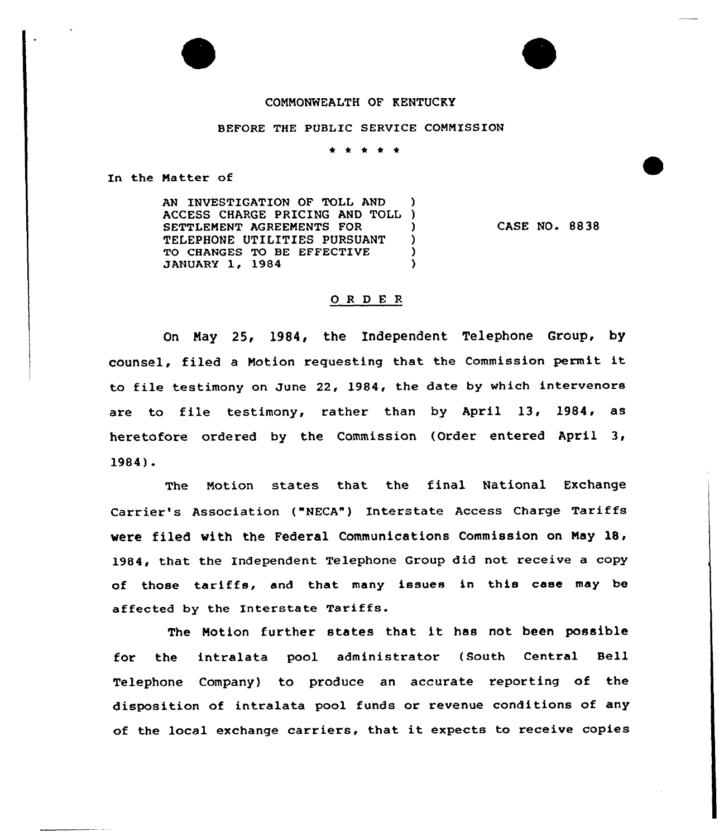## COMMONWEALTH OF KENTUCKY

## BEFORE THE PUBLIC SERVICE COMMISSION

\* \* \* \* \*

In the Matter of

AN INVESTIGATION OF TOLL AND ACCESS CHARGE PRICING AND TOLL ) SETTLEMENT AGREEMENTS FOR ) TELEPHONE UTILITIES PURSUANT )<br>TO CHANGES TO BE EFFECTIVE ) TO CHANGES TO BE EFFECTIVE (1999) JANUARY 1, 1984 )

CASE NO. 8838

## 0 R <sup>D</sup> E <sup>R</sup>

On May 25, 1984, the Independent Telephone Group, by counsel, filed <sup>a</sup> Motion requesting that the Commission permit it to file testimony on June 22, 1984, the date by which intervenors are to file testimony, rather than by April 13, 1984, as heretofore ordered by the Commission (Order entered April 3, 1984)

The Motion states that the final National Exchange Carrier's Association ("NECA") Interstate Access Charge Tariffs were filed with the Federal Communications Commission on May 18, 1984, that the Independent Telephone Group did not receive a copy of those tariffs, and that many issues in this case may be affected by the Interstate Tariffs.

The Notion further states that it has not been possible for the intralata pool administrator (South Central Bell Telephone Company} to produce an accurate reporting of the disposition of intralata pool funds or revenue conditions of any of the local exchange carriers, that it expects to receive copies